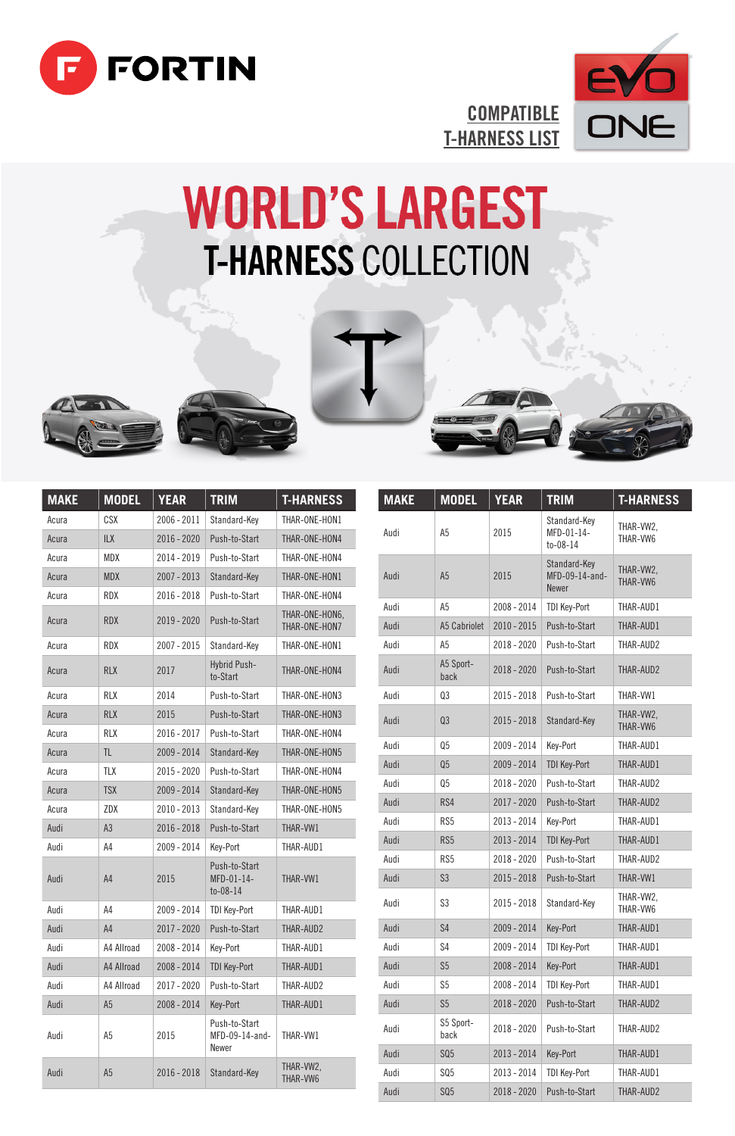



## **COMPATIBLE** T-HARNESS LIST

 $\sqrt{2}$ 

## **WORLD'S LARGEST T-HARNESS COLLECTION**





| <b>MAKE</b> | <b>MODEL</b>   | <b>YEAR</b>   | <b>TRIM</b>                                  | <b>T-HARNESS</b>                |
|-------------|----------------|---------------|----------------------------------------------|---------------------------------|
| Acura       | <b>CSX</b>     | $2006 - 2011$ | Standard-Kev                                 | THAR-ONE-HON1                   |
| Acura       | <b>ILX</b>     | $2016 - 2020$ | Push-to-Start                                | THAR-ONE-HON4                   |
| Acura       | MDX            | 2014 - 2019   | Push-to-Start                                | THAR-ONE-HON4                   |
| Acura       | <b>MDX</b>     | 2007 - 2013   | Standard-Kev                                 | THAR-ONE-HON1                   |
| Acura       | <b>RDX</b>     | 2016 - 2018   | Push-to-Start                                | THAR-ONF-HON4                   |
| Acura       | <b>RDX</b>     | 2019 - 2020   | Push-to-Start                                | THAR-ONE-HON6.<br>THAR-ONE-HON7 |
| Acura       | <b>RDX</b>     | $2007 - 2015$ | Standard-Key                                 | THAR-ONF-HON1                   |
| Acura       | <b>RLX</b>     | 2017          | <b>Hybrid Push-</b><br>to-Start              | THAR-ONE-HON4                   |
| Acura       | <b>RLX</b>     | 2014          | Push-to-Start                                | THAR-ONF-HON3                   |
| Acura       | <b>RLX</b>     | 2015          | Push-to-Start                                | THAR-ONE-HON3                   |
| Acura       | <b>RIX</b>     | $2016 - 2017$ | Push-to-Start                                | THAR-ONF-HON4                   |
| Acura       | TI.            | 2009 - 2014   | Standard-Kev                                 | THAR-ONE-HON5                   |
| Acura       | <b>TLX</b>     | 2015 - 2020   | Push-to-Start                                | THAR-ONE-HON4                   |
| Acura       | <b>TSX</b>     | 2009 - 2014   | Standard-Key                                 | THAR-ONE-HON5                   |
| Acura       | ZDX            | $2010 - 2013$ | Standard-Kev                                 | THAR-ONE-HON5                   |
| Audi        | A3             | $2016 - 2018$ | Push-to-Start                                | THAR-VW1                        |
| Audi        | A4             | 2009 - 2014   | Kev-Port                                     | THAR-AUD1                       |
| Audi        | A <sub>4</sub> | 2015          | Push-to-Start<br>MFD-01-14-<br>$to -08 - 14$ | THAR-VW1                        |
| Audi        | A4             | 2009 - 2014   | <b>TDI Key-Port</b>                          | THAR-AUD1                       |
| Audi        | A4             | 2017 - 2020   | Push-to-Start                                | THAR-AUD2                       |
| Audi        | A4 Allroad     | 2008 - 2014   | Key-Port                                     | THAR-AUD1                       |
| Audi        | A4 Allroad     | 2008 - 2014   | <b>TDI Kev-Port</b>                          | THAR-AUD1                       |
| Audi        | A4 Allroad     | $2017 - 2020$ | Push-to-Start                                | THAR-AUD2                       |
| Audi        | A <sub>5</sub> | 2008 - 2014   | Key-Port                                     | THAR-AUD1                       |
| Audi        | A <sub>5</sub> | 2015          | Push-to-Start<br>MFD-09-14-and-<br>Newer     | THAR-VW1                        |
| Audi        | A <sub>5</sub> | $2016 - 2018$ | Standard-Kev                                 | THAR-VW2.<br>THAR-VW6           |

| <b>MAKE</b> | <b>MODEL</b>      | <b>YEAR</b>   | <b>TRIM</b>                                    | <b>T-HARNESS</b>      |
|-------------|-------------------|---------------|------------------------------------------------|-----------------------|
| Audi        | A <sub>5</sub>    | 2015          | Standard-Key<br>MFD-01-14-<br>$to -08 - 14$    | THAR-VW2.<br>THAR-VW6 |
| Audi        | A <sub>5</sub>    | 2015          | Standard-Kev<br>MFD-09-14-and-<br><b>Newer</b> | THAR-VW2.<br>THAR-VW6 |
| Audi        | A5                | 2008 - 2014   | <b>TDI Key-Port</b>                            | THAR-AUD1             |
| Audi        | A5 Cabriolet      | 2010 - 2015   | Push-to-Start                                  | THAR-AUD1             |
| Audi        | A5                | 2018 - 2020   | Push-to-Start                                  | THAR-AUD2             |
| Audi        | A5 Sport-<br>back | 2018 - 2020   | Push-to-Start                                  | THAR-AUD2             |
| Audi        | Q <sub>3</sub>    | 2015 - 2018   | Push-to-Start                                  | THAR-VW1              |
| Audi        | Q <sub>3</sub>    | 2015 - 2018   | Standard-Key                                   | THAR-VW2.<br>THAR-VW6 |
| Audi        | Q <sub>5</sub>    | 2009 - 2014   | Key-Port                                       | THAR-AUD1             |
| Audi        | Q <sub>5</sub>    | 2009 - 2014   | <b>TDI Key-Port</b>                            | THAR-AUD1             |
| Audi        | Q5                | 2018 - 2020   | Push-to-Start                                  | THAR-AUD2             |
| Audi        | RS4               | 2017 - 2020   | Push-to-Start                                  | THAR-AUD2             |
| Audi        | RS5               | 2013 - 2014   | Kev-Port                                       | THAR-AUD1             |
| Audi        | RS5               | 2013 - 2014   | <b>TDI Kev-Port</b>                            | THAR-AUD1             |
| Audi        | RS5               | 2018 - 2020   | Push-to-Start                                  | THAR-AUD2             |
| Audi        | S <sub>3</sub>    | $2015 - 2018$ | Push-to-Start                                  | THAR-VW1              |
| Audi        | S3                | 2015 - 2018   | Standard-Kev                                   | THAR-VW2.<br>THAR-VW6 |
| Audi        | \$4               | 2009 - 2014   | Key-Port                                       | THAR-AUD1             |
| Audi        | S <sub>4</sub>    | 2009 - 2014   | <b>TDI Key-Port</b>                            | THAR-AUD1             |
| Audi        | S <sub>5</sub>    | 2008 - 2014   | Kev-Port                                       | THAR-AUD1             |
| Audi        | S5                | 2008 - 2014   | <b>TDI Kev-Port</b>                            | THAR-AUD1             |
| Audi        | S <sub>5</sub>    | 2018 - 2020   | Push-to-Start                                  | THAR-AUD2             |
| Audi        | S5 Sport-<br>back | 2018 - 2020   | Push-to-Start                                  | THAR-AUD2             |
| Audi        | SQ5               | 2013 - 2014   | Key-Port                                       | THAR-AUD1             |
| Audi        | SQ5               | 2013 - 2014   | <b>TDI Key-Port</b>                            | THAR-AUD1             |
| Audi        | SQ5               | 2018 - 2020   | Push-to-Start                                  | THAR-AUD2             |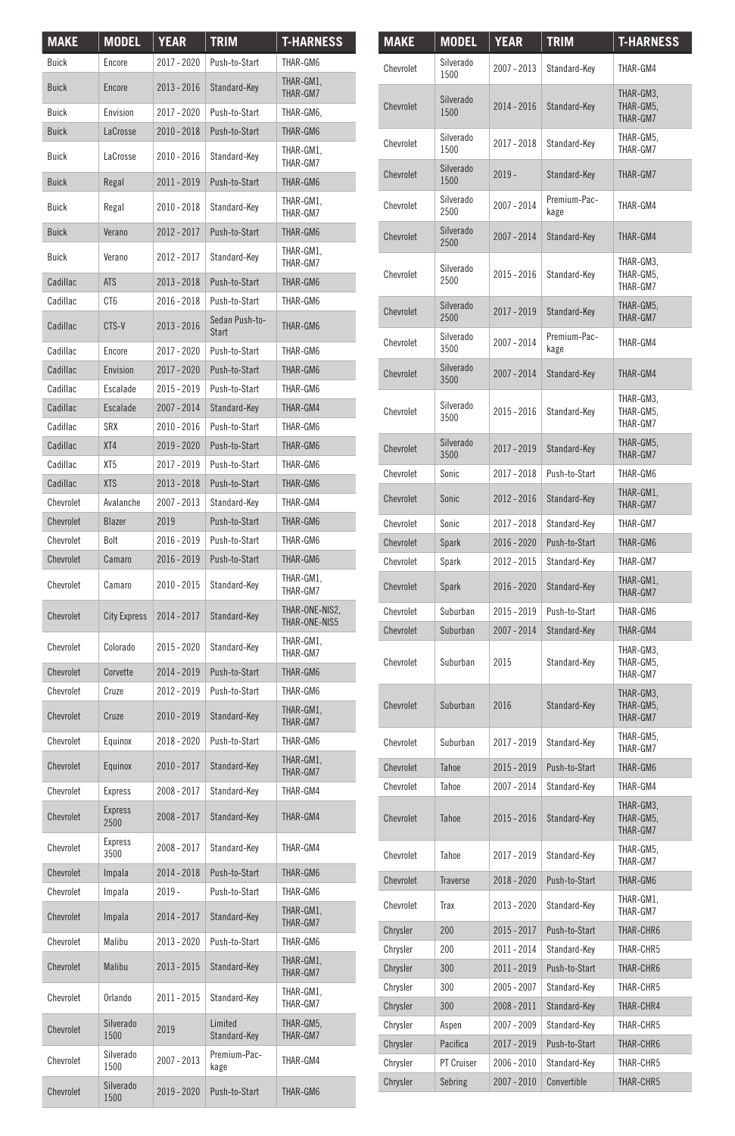| <b>MAKE</b>      | MODEL                  | YEAR          | <b>TRIM</b>             | <b>T-HARNESS</b>                |
|------------------|------------------------|---------------|-------------------------|---------------------------------|
| Buick            | Encore                 | 2017 - 2020   | Push-to-Start           | THAR-GM6                        |
| <b>Buick</b>     | Encore                 | 2013 - 2016   | Standard-Key            | THAR-GM1,<br>THAR-GM7           |
| Buick            | Envision               | 2017 - 2020   | Push-to-Start           | THAR-GM6,                       |
| <b>Buick</b>     | LaCrosse               | 2010 - 2018   | Push-to-Start           | THAR-GM6                        |
| Buick            | LaCrosse               | 2010 - 2016   | Standard-Key            | THAR-GM1.<br>THAR-GM7           |
| <b>Buick</b>     | Regal                  | 2011 - 2019   | Push-to-Start           | THAR-GM6                        |
| Buick            | Regal                  | 2010 - 2018   | Standard-Key            | THAR-GM1.<br>THAR-GM7           |
| <b>Buick</b>     | Verano                 | 2012 - 2017   | Push-to-Start           | THAR-GM6                        |
| Buick            | Verano                 | 2012 - 2017   | Standard-Kev            | THAR-GM1,<br>THAR-GM7           |
| Cadillac         | <b>ATS</b>             | 2013 - 2018   | Push-to-Start           | THAR-GM6                        |
| Cadillac         | CT <sub>6</sub>        | 2016 - 2018   | Push-to-Start           | THAR-GM6                        |
| Cadillac         | CTS-V                  | 2013 - 2016   | Sedan Push-to-<br>Start | THAR-GM6                        |
| Cadillac         | Encore                 | 2017 - 2020   | Push-to-Start           | THAR-GM6                        |
| Cadillac         | Envision               | 2017 - 2020   | Push-to-Start           | THAR-GM6                        |
| Cadillac         | Escalade               | 2015 - 2019   | Push-to-Start           | THAR-GM6                        |
| Cadillac         | Escalade               | 2007 - 2014   | Standard-Key            | THAR-GM4                        |
| Cadillac         | <b>SRX</b>             | 2010 - 2016   | Push-to-Start           | THAR-GM6                        |
| Cadillac         | XT4                    | 2019 - 2020   | Push-to-Start           | THAR-GM6                        |
| Cadillac         | XT <sub>5</sub>        | $2017 - 2019$ | Push-to-Start           | THAR-GM6                        |
| Cadillac         | <b>XTS</b>             | 2013 - 2018   | Push-to-Start           | THAR-GM6                        |
| Chevrolet        | Avalanche              | 2007 - 2013   | Standard-Key            | THAR-GM4                        |
| Chevrolet        | Blazer                 | 2019          | Push-to-Start           | THAR-GM6                        |
| Chevrolet        | Rolt                   | 2016 - 2019   | Push-to-Start           | THAR-GM6                        |
| <b>Chevrolet</b> | Camaro                 | 2016 - 2019   | Push-to-Start           | THAR-GM6                        |
| Chevrolet        | Camaro                 | 2010 - 2015   | Standard-Key            | THAR-GM1.<br>THAR-GM7           |
| Chevrolet        | <b>City Express</b>    | 2014 - 2017   | Standard-Key            | THAR-ONE-NIS2.<br>THAR-ONE-NIS5 |
| Chevrolet        | Colorado               | 2015 - 2020   | Standard-Key            | THAR-GM1,<br>THAR-GM7           |
| Chevrolet        | Corvette               | 2014 - 2019   | Push-to-Start           | THAR-GM6                        |
| Chevrolet        | Cruze                  | 2012 - 2019   | Push-to-Start           | THAR-GM6                        |
| Chevrolet        | Cruze                  | 2010 - 2019   | Standard-Key            | THAR-GM1,<br>THAR-GM7           |
| Chevrolet        | Equinox                | 2018 - 2020   | Push-to-Start           | THAR-GM6                        |
| Chevrolet        | Equinox                | 2010 - 2017   | Standard-Key            | THAR-GM1,<br>THAR-GM7           |
| Chevrolet        | Express                | 2008 - 2017   | Standard-Key            | THAR-GM4                        |
| Chevrolet        | <b>Express</b><br>2500 | 2008 - 2017   | Standard-Key            | THAR-GM4                        |
| Chevrolet        | Express<br>3500        | 2008 - 2017   | Standard-Key            | THAR-GM4                        |
| Chevrolet        | Impala                 | 2014 - 2018   | Push-to-Start           | THAR-GM6                        |
| Chevrolet        | Impala                 | 2019 -        | Push-to-Start           | THAR-GM6                        |
| Chevrolet        | Impala                 | 2014 - 2017   | Standard-Key            | THAR-GM1,<br>THAR-GM7           |
| Chevrolet        | Malibu                 | 2013 - 2020   | Push-to-Start           | THAR-GM6                        |
| Chevrolet        | Malibu                 | 2013 - 2015   | Standard-Key            | THAR-GM1.<br>THAR-GM7           |
| Chevrolet        | Orlando                | 2011 - 2015   | Standard-Key            | THAR-GM1,<br>THAR-GM7           |
| Chevrolet        | Silverado<br>1500      | 2019          | Limited<br>Standard-Key | THAR-GM5,<br>THAR-GM7           |
| Chevrolet        | Silverado<br>1500      | 2007 - 2013   | Premium-Pac-<br>kage    | THAR-GM4                        |
| Chevrolet        | Silverado<br>1500      | 2019 - 2020   | Push-to-Start           | THAR-GM6                        |

| <b>MAKE</b> | MODEL             | YEAR        | TRIM                 | <b>T-HARNESS</b>                   |
|-------------|-------------------|-------------|----------------------|------------------------------------|
| Chevrolet   | Silverado<br>1500 | 2007 - 2013 | Standard-Key         | THAR-GM4                           |
| Chevrolet   | Silverado<br>1500 | 2014 - 2016 | Standard-Key         | THAR-GM3.<br>THAR-GM5,<br>THAR-GM7 |
| Chevrolet   | Silverado<br>1500 | 2017 - 2018 | Standard-Kev         | THAR-GM5,<br>THAR-GM7              |
| Chevrolet   | Silverado<br>1500 | $2019 -$    | Standard-Key         | THAR-GM7                           |
| Chevrolet   | Silverado<br>2500 | 2007 - 2014 | Premium-Pac-<br>kage | THAR-GM4                           |
| Chevrolet   | Silverado<br>2500 | 2007 - 2014 | Standard-Key         | THAR-GM4                           |
| Chevrolet   | Silverado<br>2500 | 2015 - 2016 | Standard-Key         | THAR-GM3.<br>THAR-GM5.<br>THAR-GM7 |
| Chevrolet   | Silverado<br>2500 | 2017 - 2019 | Standard-Key         | THAR-GM5.<br>THAR-GM7              |
| Chevrolet   | Silverado<br>3500 | 2007 - 2014 | Premium-Pac-<br>kage | THAR-GM4                           |
| Chevrolet   | Silverado<br>3500 | 2007 - 2014 | Standard-Key         | THAR-GM4                           |
| Chevrolet   | Silverado<br>3500 | 2015 - 2016 | Standard-Key         | THAR-GM3,<br>THAR-GM5,<br>THAR-GM7 |
| Chevrolet   | Silverado<br>3500 | 2017 - 2019 | Standard-Key         | THAR-GM5.<br>THAR-GM7              |
| Chevrolet   | Sonic             | 2017 - 2018 | Push-to-Start        | THAR-GM6                           |
| Chevrolet   | Sonic             | 2012 - 2016 | Standard-Key         | THAR-GM1.<br>THAR-GM7              |
| Chevrolet   | Sonic             | 2017 - 2018 | Standard-Kev         | THAR-GM7                           |
| Chevrolet   | Spark             | 2016 - 2020 | Push-to-Start        | THAR-GM6                           |
| Chevrolet   | Spark             | 2012 - 2015 | Standard-Key         | THAR-GM7                           |
| Chevrolet   | Spark             | 2016 - 2020 | Standard-Key         | THAR-GM1.<br>THAR-GM7              |
| Chevrolet   | Suburban          | 2015 - 2019 | Push-to-Start        | THAR-GM6                           |
| Chevrolet   | Suburban          | 2007 - 2014 | Standard-Key         | THAR-GM4                           |
| Chevrolet   | Suburban          | 2015        | Standard-Key         | THAR-GM3.<br>THAR-GM5,<br>THAR-GM7 |
| Chevrolet   | Suburban          | 2016        | Standard-Key         | THAR-GM3.<br>THAR-GM5.<br>THAR-GM7 |
| Chevrolet   | Suburban          | 2017 - 2019 | Standard-Key         | THAR-GM5,<br>THAR-GM7              |
| Chevrolet   | Tahoe             | 2015 - 2019 | Push-to-Start        | THAR-GM6                           |
| Chevrolet   | Tahoe             | 2007 - 2014 | Standard-Key         | THAR-GM4                           |
| Chevrolet   | Tahoe             | 2015 - 2016 | Standard-Key         | THAR-GM3.<br>THAR-GM5.<br>THAR-GM7 |
| Chevrolet   | Tahoe             | 2017 - 2019 | Standard-Key         | THAR-GM5,<br>THAR-GM7              |
| Chevrolet   | Traverse          | 2018 - 2020 | Push-to-Start        | THAR-GM6                           |
| Chevrolet   | Trax              | 2013 - 2020 | Standard-Key         | THAR-GM1.<br>THAR-GM7              |
| Chrysler    | 200               | 2015 - 2017 | Push-to-Start        | THAR-CHR6                          |
| Chrysler    | 200               | 2011 - 2014 | Standard-Key         | THAR-CHR5                          |
| Chrysler    | 300               | 2011 - 2019 | Push-to-Start        | THAR-CHR6                          |
| Chrysler    | 300               | 2005 - 2007 | Standard-Key         | THAR-CHR5                          |
| Chrysler    | 300               | 2008 - 2011 | Standard-Key         | THAR-CHR4                          |
| Chrysler    | Aspen             | 2007 - 2009 | Standard-Key         | THAR-CHR5                          |
| Chrysler    | Pacifica          | 2017 - 2019 | Push-to-Start        | THAR-CHR6                          |
| Chrysler    | PT Cruiser        | 2006 - 2010 | Standard-Key         | THAR-CHR5                          |
| Chrysler    | Sebring           | 2007 - 2010 | Convertible          | THAR-CHR5                          |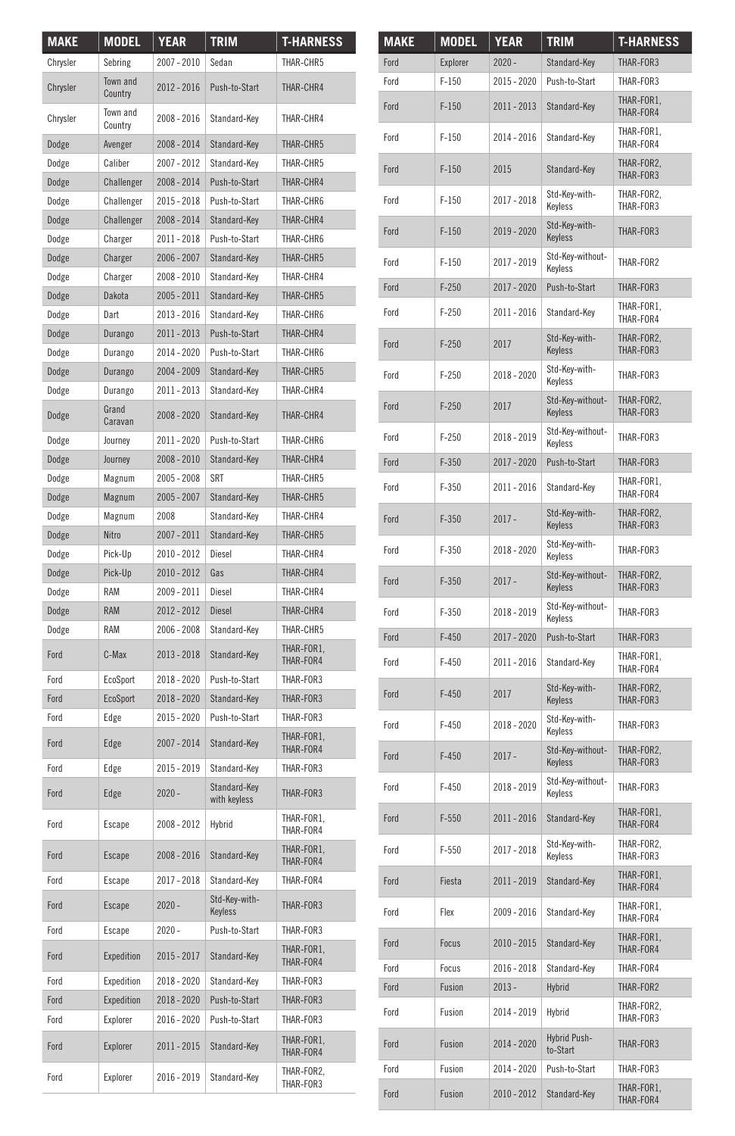| <b>MAKE</b> | <b>MODEL</b>        | <b>YEAR</b>   | <b>TRIM</b>                  | <b>T-HARNESS</b>        |
|-------------|---------------------|---------------|------------------------------|-------------------------|
| Chrysler    | Sebring             | 2007 - 2010   | Sedan                        | THAR-CHR5               |
| Chrysler    | Town and<br>Country | 2012 - 2016   | Push-to-Start                | THAR-CHR4               |
| Chrysler    | Town and<br>Country | 2008 - 2016   | Standard-Key                 | THAR-CHR4               |
| Dodge       | Avenger             | 2008 - 2014   | Standard-Key                 | THAR-CHR5               |
| Dodge       | Caliber             | 2007 - 2012   | Standard-Key                 | THAR-CHR5               |
| Dodge       | Challenger          | 2008 - 2014   | Push-to-Start                | THAR-CHR4               |
| Dodge       | Challenger          | 2015 - 2018   | Push-to-Start                | THAR-CHR6               |
| Dodge       | Challenger          | 2008 - 2014   | Standard-Key                 | THAR-CHR4               |
| Dodge       | Charger             | 2011 - 2018   | Push-to-Start                | THAR-CHR6               |
| Dodge       | Charger             | 2006 - 2007   | Standard-Key                 | THAR-CHR5               |
| Dodge       | Charger             | 2008 - 2010   | Standard-Kev                 | THAR-CHR4               |
| Dodge       | Dakota              | 2005 - 2011   | Standard-Key                 | THAR-CHR5               |
| Dodge       | Dart                | 2013 - 2016   | Standard-Key                 | THAR-CHR6               |
| Dodge       | Durango             | 2011 - 2013   | Push-to-Start                | THAR-CHR4               |
| Dodge       | Durango             | 2014 - 2020   | Push-to-Start                | THAR-CHR6               |
| Dodge       | Durango             | 2004 - 2009   | Standard-Key                 | THAR-CHR5               |
| Dodge       | Durango             | 2011 - 2013   | Standard-Key                 | THAR-CHR4               |
| Dodge       | Grand<br>Caravan    | 2008 - 2020   | Standard-Kev                 | THAR-CHR4               |
| Dodge       | Journey             | $2011 - 2020$ | Push-to-Start                | THAR-CHR6               |
| Dodge       | Journey             | 2008 - 2010   | Standard-Kev                 | THAR-CHR4               |
| Dodge       | Magnum              | 2005 - 2008   | SRT                          | THAR-CHR5               |
| Dodge       | Magnum              | 2005 - 2007   | Standard-Key                 | THAR-CHR5               |
| Dodge       | Magnum              | 2008          | Standard-Key                 | THAR-CHR4               |
| Dodge       | Nitro               | 2007 - 2011   | Standard-Key                 | THAR-CHR5               |
| Dodge       | Pick-Up             | 2010 - 2012   | Diesel                       | THAR-CHR4               |
| Dodge       | Pick-Up             | 2010 - 2012   | Gas                          | THAR-CHR4               |
| Dodge       | RAM                 | 2009 - 2011   | Diesel                       | THAR-CHR4               |
| Dodge       | <b>RAM</b>          | 2012 - 2012   | <b>Diesel</b>                | THAR-CHR4               |
| Dodge       | <b>RAM</b>          | 2006 - 2008   | Standard-Key                 | THAR-CHR5               |
| Ford        | C-Max               | 2013 - 2018   | Standard-Key                 | THAR-FOR1.<br>THAR-FOR4 |
| Ford        | EcoSport            | 2018 - 2020   | Push-to-Start                | THAR-FOR3               |
| Ford        | EcoSport            | 2018 - 2020   | Standard-Key                 | THAR-FOR3               |
| Ford        | Edge                | 2015 - 2020   | Push-to-Start                | THAR-FOR3               |
| Ford        | Edge                | 2007 - 2014   | Standard-Key                 | THAR-FOR1,<br>THAR-FOR4 |
| Ford        | Edge                | 2015 - 2019   | Standard-Key                 | THAR-FOR3               |
| Ford        | Edge                | $2020 -$      | Standard-Key<br>with keyless | THAR-FOR3               |
| Ford        | Escape              | 2008 - 2012   | Hybrid                       | THAR-FOR1.<br>THAR-FOR4 |
| Ford        | Escape              | 2008 - 2016   | Standard-Key                 | THAR-FOR1.<br>THAR-FOR4 |
| Ford        | Escape              | 2017 - 2018   | Standard-Key                 | THAR-FOR4               |
| Ford        | Escape              | $2020 -$      | Std-Kev-with-<br>Keyless     | THAR-FOR3               |
| Ford        | Escape              | $2020 -$      | Push-to-Start                | THAR-FOR3               |
| Ford        | Expedition          | 2015 - 2017   | Standard-Key                 | THAR-FOR1.<br>THAR-FOR4 |
| Ford        | Expedition          | 2018 - 2020   | Standard-Key                 | THAR-FOR3               |
| Ford        | Expedition          | 2018 - 2020   | Push-to-Start                | THAR-FOR3               |
| Ford        | Explorer            | 2016 - 2020   | Push-to-Start                | THAR-FOR3               |
| Ford        | Explorer            | 2011 - 2015   | Standard-Key                 | THAR-FOR1.<br>THAR-FOR4 |
| Ford        | Explorer            | 2016 - 2019   | Standard-Key                 | THAR-FOR2,<br>THAR-FOR3 |

| <b>MAKE</b> | <b>MODEL</b> | YEAR        | <b>TRIM</b>                 | <b>T-HARNESS</b>        |
|-------------|--------------|-------------|-----------------------------|-------------------------|
| Ford        | Explorer     | $2020 -$    | Standard-Key                | THAR-FOR3               |
| Ford        | $F-150$      | 2015 - 2020 | Push-to-Start               | THAR-FOR3               |
| Ford        | $F-150$      | 2011 - 2013 | Standard-Key                | THAR-FOR1.<br>THAR-FOR4 |
| Ford        | $F-150$      | 2014 - 2016 | Standard-Kev                | THAR-FOR1,<br>THAR-FOR4 |
| Ford        | $F-150$      | 2015        | Standard-Key                | THAR-FOR2.<br>THAR-FOR3 |
| Ford        | $F-150$      | 2017 - 2018 | Std-Key-with-<br>Keyless    | THAR-FOR2,<br>THAR-FOR3 |
| Ford        | $F-150$      | 2019 - 2020 | Std-Key-with-<br>Keyless    | THAR-FOR3               |
| Ford        | $F-150$      | 2017 - 2019 | Std-Key-without-<br>Keyless | THAR-FOR2               |
| Ford        | $F-250$      | 2017 - 2020 | Push-to-Start               | THAR-FOR3               |
| Ford        | $F-250$      | 2011 - 2016 | Standard-Key                | THAR-FOR1.<br>THAR-FOR4 |
| Ford        | $F-250$      | 2017        | Std-Key-with-<br>Keyless    | THAR-FOR2.<br>THAR-FOR3 |
| Ford        | $F-250$      | 2018 - 2020 | Std-Key-with-<br>Keyless    | THAR-FOR3               |
| Ford        | $F-250$      | 2017        | Std-Key-without-<br>Keyless | THAR-FOR2,<br>THAR-FOR3 |
| Ford        | $F-250$      | 2018 - 2019 | Std-Key-without-<br>Keyless | THAR-FOR3               |
| Ford        | $F-350$      | 2017 - 2020 | Push-to-Start               | THAR-FOR3               |
| Ford        | $F-350$      | 2011 - 2016 | Standard-Key                | THAR-FOR1.<br>THAR-FOR4 |
| Ford        | $F-350$      | $2017 -$    | Std-Key-with-<br>Keyless    | THAR-FOR2.<br>THAR-FOR3 |
| Ford        | $F - 350$    | 2018 - 2020 | Std-Key-with-<br>Keyless    | THAR-FOR3               |
| Ford        | $F-350$      | $2017 -$    | Std-Key-without-<br>Keyless | THAR-FOR2,<br>THAR-FOR3 |
| Ford        | $F-350$      | 2018 - 2019 | Std-Key-without-<br>Keyless | THAR-FOR3               |
| Ford        | $F-450$      | 2017 - 2020 | Push-to-Start               | THAR-FOR3               |
| Ford        | $F-450$      | 2011 - 2016 | Standard-Key                | THAR-FOR1,<br>THAR-FOR4 |
| Ford        | $F-450$      | 2017        | Std-Key-with-<br>Keyless    | THAR-FOR2,<br>THAR-FOR3 |
| Ford        | $F-450$      | 2018 - 2020 | Std-Key-with-<br>Keyless    | THAR-FOR3               |
| Ford        | $F-450$      | $2017 -$    | Std-Key-without-<br>Kevless | THAR-FOR2.<br>THAR-FOR3 |
| Ford        | $F-450$      | 2018 - 2019 | Std-Key-without-<br>Keyless | THAR-FOR3               |
| Ford        | $F-550$      | 2011 - 2016 | Standard-Kev                | THAR-FOR1.<br>THAR-FOR4 |
| Ford        | $F-550$      | 2017 - 2018 | Std-Key-with-<br>Keyless    | THAR-FOR2.<br>THAR-FOR3 |
| Ford        | Fiesta       | 2011 - 2019 | Standard-Key                | THAR-FOR1,<br>THAR-FOR4 |
| Ford        | Flex         | 2009 - 2016 | Standard-Key                | THAR-FOR1,<br>THAR-FOR4 |
| Ford        | Focus        | 2010 - 2015 | Standard-Key                | THAR-FOR1.<br>THAR-FOR4 |
| Ford        | Focus        | 2016 - 2018 | Standard-Key                | THAR-FOR4               |
| Ford        | Fusion       | $2013 -$    | Hybrid                      | THAR-FOR2               |
| Ford        | Fusion       | 2014 - 2019 | Hybrid                      | THAR-FOR2.<br>THAR-FOR3 |
| Ford        | Fusion       | 2014 - 2020 | Hybrid Push-<br>to-Start    | THAR-FOR3               |
| Ford        | Fusion       | 2014 - 2020 | Push-to-Start               | THAR-FOR3               |
| Ford        | Fusion       | 2010 - 2012 | Standard-Key                | THAR-FOR1,<br>THAR-FOR4 |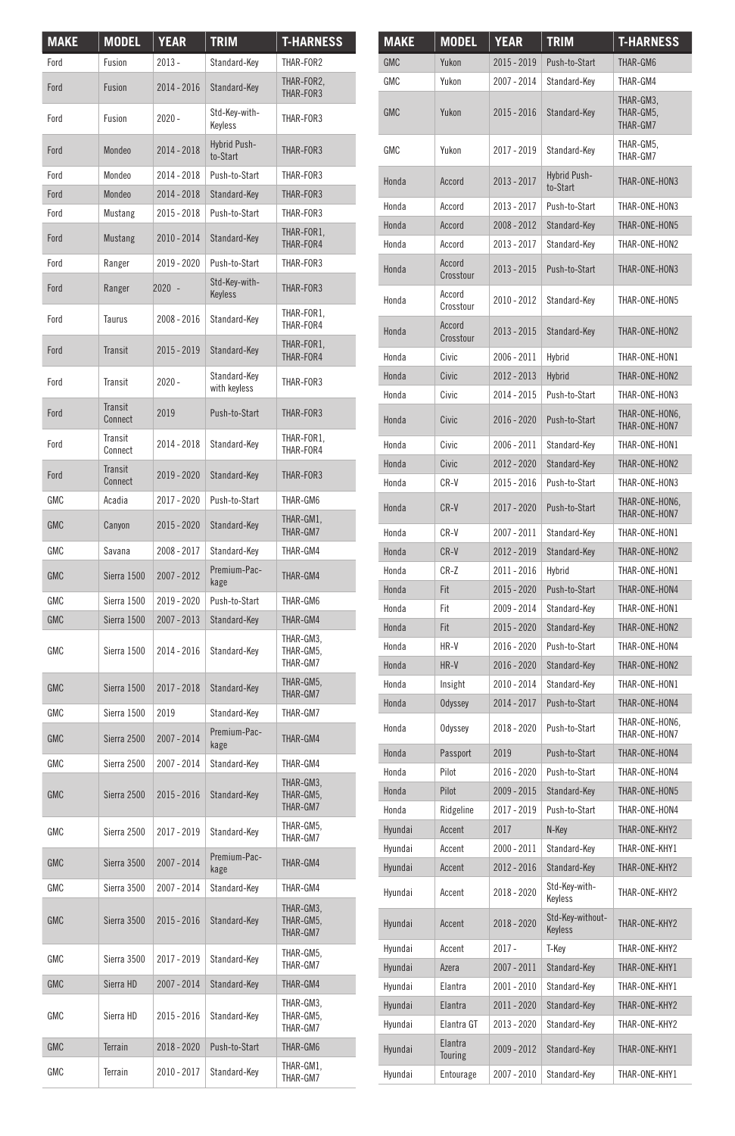| <b>MAKE</b> | MODEL              | YEAR          | <b>TRIM</b>                  | <b>T-HARNESS</b>                   |
|-------------|--------------------|---------------|------------------------------|------------------------------------|
| Ford        | Fusion             | $2013 -$      | Standard-Key                 | THAR-FOR2                          |
| Ford        | Fusion             | 2014 - 2016   | Standard-Key                 | THAR-FOR2,<br>THAR-FOR3            |
| Ford        | Fusion             | $2020 -$      | Std-Key-with-<br>Keyless     | THAR-FOR3                          |
| Ford        | Mondeo             | 2014 - 2018   | Hybrid Push-<br>to-Start     | THAR-FOR3                          |
| Ford        | Mondeo             | 2014 - 2018   | Push-to-Start                | THAR-FOR3                          |
| Ford        | Mondeo             | 2014 - 2018   | Standard-Key                 | THAR-FOR3                          |
| Ford        | Mustang            | 2015 - 2018   | Push-to-Start                | THAR-FOR3                          |
| Ford        | Mustang            | 2010 - 2014   | Standard-Key                 | THAR-FOR1.<br>THAR-FOR4            |
| Ford        | Ranger             | 2019 - 2020   | Push-to-Start                | THAR-FOR3                          |
| Ford        | Ranger             | $2020 -$      | Std-Key-with-<br>Keyless     | THAR-FOR3                          |
| Ford        | Taurus             | 2008 - 2016   | Standard-Key                 | THAR-FOR1,<br>THAR-FOR4            |
| Ford        | <b>Transit</b>     | 2015 - 2019   | Standard-Key                 | THAR-FOR1,<br>THAR-FOR4            |
| Ford        | Transit            | $2020 -$      | Standard-Key<br>with keyless | THAR-FOR3                          |
| Ford        | Transit<br>Connect | 2019          | Push-to-Start                | THAR-FOR3                          |
| Ford        | Transit<br>Connect | 2014 - 2018   | Standard-Key                 | THAR-FOR1.<br>THAR-FOR4            |
| Ford        | Transit<br>Connect | 2019 - 2020   | Standard-Key                 | THAR-FOR3                          |
| <b>GMC</b>  | Acadia             | 2017 - 2020   | Push-to-Start                | THAR-GM6                           |
| <b>GMC</b>  | Canyon             | 2015 - 2020   | Standard-Key                 | THAR-GM1,<br>THAR-GM7              |
| <b>GMC</b>  | Savana             | 2008 - 2017   | Standard-Key                 | THAR-GM4                           |
| <b>GMC</b>  | Sierra 1500        | 2007 - 2012   | Premium-Pac-<br>kage         | THAR-GM4                           |
| GMC         | Sierra 1500        | 2019 - 2020   | Push-to-Start                | THAR-GM6                           |
| <b>GMC</b>  | Sierra 1500        | 2007 - 2013   | Standard-Key                 | THAR-GM4                           |
| GMC         | Sierra 1500        | 2014 - 2016   | Standard-Key                 | THAR-GM3,<br>THAR-GM5,<br>THAR-GM7 |
| <b>GMC</b>  | Sierra 1500        | $2017 - 2018$ | Standard-Key                 | THAR-GM5,<br>THAR-GM7              |
| <b>GMC</b>  | Sierra 1500        | 2019          | Standard-Key                 | THAR-GM7                           |
| <b>GMC</b>  | Sierra 2500        | 2007 - 2014   | Premium-Pac-<br>kage         | THAR-GM4                           |
| <b>GMC</b>  | Sierra 2500        | 2007 - 2014   | Standard-Key                 | THAR-GM4                           |
| <b>GMC</b>  | Sierra 2500        | 2015 - 2016   | Standard-Key                 | THAR-GM3,<br>THAR-GM5,<br>THAR-GM7 |
| GMC         | Sierra 2500        | 2017 - 2019   | Standard-Key                 | THAR-GM5,<br>THAR-GM7              |
| GMC         | Sierra 3500        | 2007 - 2014   | Premium-Pac-<br>kage         | THAR-GM4                           |
| GMC         | Sierra 3500        | 2007 - 2014   | Standard-Key                 | THAR-GM4                           |
| GMC         | Sierra 3500        | $2015 - 2016$ | Standard-Key                 | THAR-GM3,<br>THAR-GM5,<br>THAR-GM7 |
| <b>GMC</b>  | Sierra 3500        | 2017 - 2019   | Standard-Key                 | THAR-GM5.<br>THAR-GM7              |
| <b>GMC</b>  | Sierra HD          | 2007 - 2014   | Standard-Key                 | THAR-GM4                           |
| <b>GMC</b>  | Sierra HD          | 2015 - 2016   | Standard-Key                 | THAR-GM3,<br>THAR-GM5,<br>THAR-GM7 |
| <b>GMC</b>  | Terrain            | 2018 - 2020   | Push-to-Start                | THAR-GM6                           |
| GMC         | Terrain            | 2010 - 2017   | Standard-Key                 | THAR-GM1.<br>THAR-GM7              |

| <b>MAKE</b> | <b>MODEL</b>        | <b>YEAR</b> | <b>TRIM</b>                     | <b>T-HARNESS</b>                   |
|-------------|---------------------|-------------|---------------------------------|------------------------------------|
| <b>GMC</b>  | Yukon               | 2015 - 2019 | Push-to-Start                   | THAR-GM6                           |
| <b>GMC</b>  | Yukon               | 2007 - 2014 | Standard-Key                    | THAR-GM4                           |
| <b>GMC</b>  | Yukon               | 2015 - 2016 | Standard-Key                    | THAR-GM3.<br>THAR-GM5.<br>THAR-GM7 |
| <b>GMC</b>  | Yukon               | 2017 - 2019 | Standard-Key                    | THAR-GM5.<br>THAR-GM7              |
| Honda       | Accord              | 2013 - 2017 | <b>Hybrid Push-</b><br>to-Start | THAR-ONE-HON3                      |
| Honda       | Accord              | 2013 - 2017 | Push-to-Start                   | THAR-ONE-HON3                      |
| Honda       | Accord              | 2008 - 2012 | Standard-Key                    | THAR-ONE-HON5                      |
| Honda       | Accord              | 2013 - 2017 | Standard-Key                    | THAR-ONE-HON2                      |
| Honda       | Accord<br>Crosstour | 2013 - 2015 | Push-to-Start                   | THAR-ONE-HON3                      |
| Honda       | Accord<br>Crosstour | 2010 - 2012 | Standard-Key                    | THAR-ONE-HON5                      |
| Honda       | Accord<br>Crosstour | 2013 - 2015 | Standard-Key                    | THAR-ONE-HON2                      |
| Honda       | Civic               | 2006 - 2011 | Hybrid                          | THAR-ONE-HON1                      |
| Honda       | Civic               | 2012 - 2013 | Hybrid                          | THAR-ONE-HON2                      |
| Honda       | Civic               | 2014 - 2015 | Push-to-Start                   | THAR-ONE-HON3                      |
| Honda       | Civic               | 2016 - 2020 | Push-to-Start                   | THAR-ONE-HON6,<br>THAR-ONE-HON7    |
| Honda       | Civic               | 2006 - 2011 | Standard-Key                    | THAR-ONE-HON1                      |
| Honda       | Civic               | 2012 - 2020 | Standard-Key                    | THAR-ONE-HON2                      |
| Honda       | $CR-V$              | 2015 - 2016 | Push-to-Start                   | THAR-ONF-HON3                      |
| Honda       | $CR-V$              | 2017 - 2020 | Push-to-Start                   | THAR-ONE-HON6.<br>THAR-ONE-HON7    |
| Honda       | CR-V                | 2007 - 2011 | Standard-Key                    | THAR-ONF-HON1                      |
| Honda       | CR-V                | 2012 - 2019 | Standard-Key                    | THAR-ONE-HON2                      |
| Honda       | $CR-Z$              | 2011 - 2016 | Hybrid                          | THAR-ONE-HON1                      |
| Honda       | Fit                 | 2015 - 2020 | Push-to-Start                   | THAR-ONE-HON4                      |
| Honda       | Fit                 | 2009 - 2014 | Standard-Key                    | THAR-ONE-HON1                      |
| Honda       | Fit                 | 2015 - 2020 | Standard-Key                    | THAR-ONE-HON2                      |
| Honda       | HR-V                | 2016 - 2020 | Push-to-Start                   | THAR-ONE-HON4                      |
| Honda       | HR-V                | 2016 - 2020 | Standard-Key                    | THAR-ONE-HON2                      |
| Honda       | Insight             | 2010 - 2014 | Standard-Key                    | THAR-ONE-HON1                      |
| Honda       | Odyssey             | 2014 - 2017 | Push-to-Start                   | THAR-ONE-HON4                      |
| Honda       | Odyssey             | 2018 - 2020 | Push-to-Start                   | THAR-ONE-HON6,<br>THAR-ONE-HON7    |
| Honda       | Passport            | 2019        | Push-to-Start                   | THAR-ONE-HON4                      |
| Honda       | Pilot               | 2016 - 2020 | Push-to-Start                   | THAR-ONE-HON4                      |
| Honda       | Pilot               | 2009 - 2015 | Standard-Kev                    | THAR-ONE-HON5                      |
| Honda       | Ridgeline           | 2017 - 2019 | Push-to-Start                   | THAR-ONE-HON4                      |
| Hyundai     | Accent              | 2017        | N-Key                           | THAR-ONE-KHY2                      |
| Hyundai     | Accent              | 2000 - 2011 | Standard-Key                    | THAR-ONE-KHY1                      |
| Hyundai     | Accent              | 2012 - 2016 | Standard-Key                    | THAR-ONE-KHY2                      |
| Hyundai     | Accent              | 2018 - 2020 | Std-Key-with-<br>Keyless        | THAR-ONE-KHY2                      |
| Hyundai     | Accent              | 2018 - 2020 | Std-Key-without-<br>Keyless     | THAR-ONE-KHY2                      |
| Hyundai     | Accent              | $2017 -$    | T-Key                           | THAR-ONE-KHY2                      |
| Hyundai     | Azera               | 2007 - 2011 | Standard-Key                    | THAR-ONE-KHY1                      |
| Hyundai     | Elantra             | 2001 - 2010 | Standard-Key                    | THAR-ONE-KHY1                      |
| Hyundai     | Elantra             | 2011 - 2020 | Standard-Key                    | THAR-ONE-KHY2                      |
| Hyundai     | Elantra GT          | 2013 - 2020 | Standard-Key                    | THAR-ONE-KHY2                      |
| Hyundai     | Elantra<br>Touring  | 2009 - 2012 | Standard-Key                    | THAR-ONE-KHY1                      |
| Hyundai     | Entourage           | 2007 - 2010 | Standard-Key                    | THAR-ONE-KHY1                      |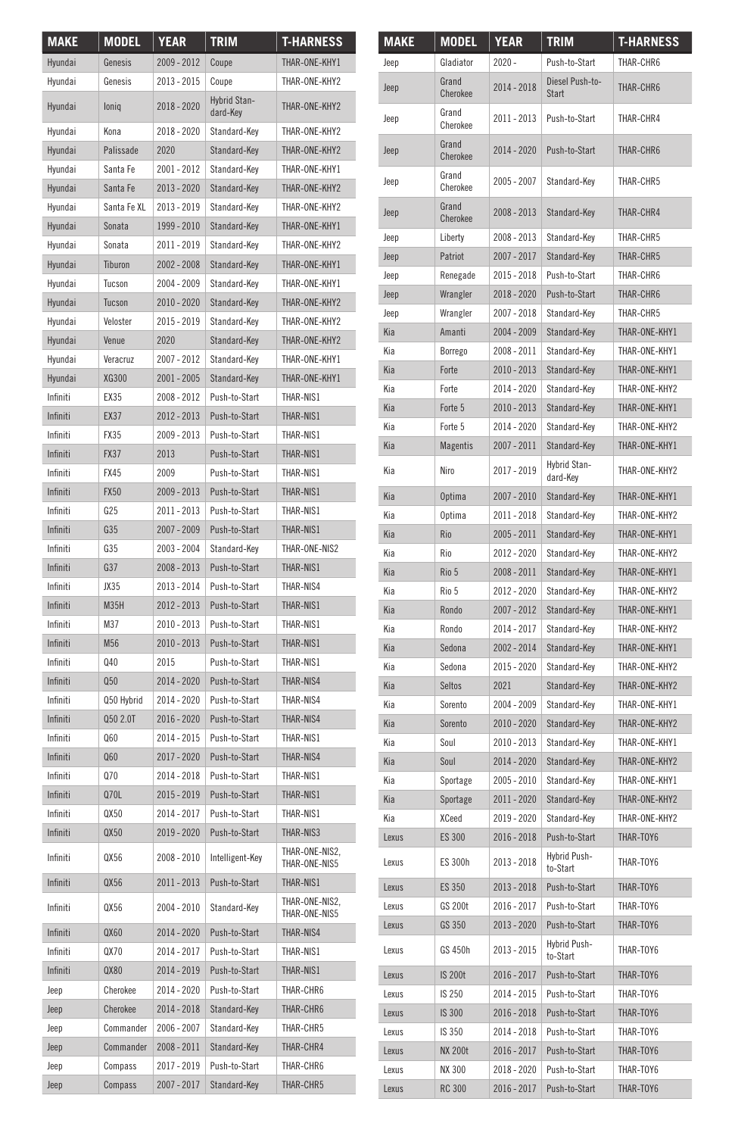| <b>MAKE</b> | MODEL       | <b>YEAR</b> | <b>TRIM</b>                     | <b>T-HARNESS</b>                |
|-------------|-------------|-------------|---------------------------------|---------------------------------|
| Hvundai     | Genesis     | 2009 - 2012 | Coupe                           | THAR-ONE-KHY1                   |
| Hyundai     | Genesis     | 2013 - 2015 | Coupe                           | THAR-ONF-KHY2                   |
| Hyundai     | loniq       | 2018 - 2020 | <b>Hybrid Stan-</b><br>dard-Key | THAR-ONE-KHY2                   |
| Hyundai     | Kona        | 2018 - 2020 | Standard-Kev                    | THAR-ONE-KHY2                   |
| Hyundai     | Palissade   | 2020        | Standard-Key                    | THAR-ONF-KHY2                   |
| Hyundai     | Santa Fe    | 2001 - 2012 | Standard-Key                    | THAR-ONE-KHY1                   |
| Hyundai     | Santa Fe    | 2013 - 2020 | Standard-Key                    | THAR-ONE-KHY2                   |
| Hyundai     | Santa Fe XL | 2013 - 2019 | Standard-Key                    | THAR-ONE-KHY2                   |
| Hvundai     | Sonata      | 1999 - 2010 | Standard-Kev                    | THAR-ONE-KHY1                   |
| Hyundai     | Sonata      | 2011 - 2019 | Standard-Key                    | THAR-ONE-KHY2                   |
| Hvundai     | Tiburon     | 2002 - 2008 | Standard-Key                    | THAR-ONE-KHY1                   |
| Hyundai     | Tucson      | 2004 - 2009 | Standard-Key                    | THAR-ONE-KHY1                   |
| Hyundai     | Tucson      | 2010 - 2020 | Standard-Key                    | THAR-ONE-KHY2                   |
| Hyundai     | Veloster    | 2015 - 2019 | Standard-Key                    | THAR-ONE-KHY2                   |
| Hyundai     | Venue       | 2020        | Standard-Key                    | THAR-ONE-KHY2                   |
| Hyundai     | Veracruz    | 2007 - 2012 | Standard-Key                    | THAR-ONE-KHY1                   |
| Hyundai     | XG300       | 2001 - 2005 | Standard-Key                    | THAR-ONE-KHY1                   |
| Infiniti    | EX35        | 2008 - 2012 | Push-to-Start                   | THAR-NIS1                       |
| Infiniti    | EX37        | 2012 - 2013 | Push-to-Start                   | THAR-NIS1                       |
| Infiniti    | <b>FX35</b> | 2009 - 2013 | Push-to-Start                   | THAR-NIS1                       |
| Infiniti    | <b>FX37</b> | 2013        | Push-to-Start                   | THAR-NIS1                       |
| Infiniti    | <b>FX45</b> | 2009        | Push-to-Start                   | THAR-NIS1                       |
| Infiniti    | <b>FX50</b> | 2009 - 2013 | Push-to-Start                   | THAR-NIS1                       |
| Infiniti    | G25         | 2011 - 2013 | Push-to-Start                   | THAR-NIS1                       |
| Infiniti    | G35         | 2007 - 2009 | Push-to-Start                   | THAR-NIS1                       |
| Infiniti    | G35         | 2003 - 2004 | Standard-Key                    | THAR-ONF-NIS2                   |
| Infiniti    | G37         | 2008 - 2013 | Push-to-Start                   | THAR-NIS1                       |
| Infiniti    | JX35        | 2013 - 2014 | Push-to-Start                   | THAR-NIS4                       |
| Infiniti    | M35H        | 2012 - 2013 | Push-to-Start                   | THAR-NIS1                       |
| Infiniti    | M37         | 2010 - 2013 | Push-to-Start                   | THAR-NIS1                       |
| Infiniti    | M56         | 2010 - 2013 | Push-to-Start                   | THAR-NIS1                       |
| Infiniti    | Q40         | 2015        | Push-to-Start                   | THAR-NIS1                       |
| Infiniti    | Q50         | 2014 - 2020 | Push-to-Start                   | THAR-NIS4                       |
| Infiniti    | Q50 Hybrid  | 2014 - 2020 | Push-to-Start                   | THAR-NIS4                       |
| Infiniti    | Q50 2.0T    | 2016 - 2020 | Push-to-Start                   | THAR-NIS4                       |
| Infiniti    | Q60         | 2014 - 2015 | Push-to-Start                   | THAR-NIS1                       |
| Infiniti    | 060         | 2017 - 2020 | Push-to-Start                   | THAR-NIS4                       |
| Infiniti    | Q70         | 2014 - 2018 | Push-to-Start                   | THAR-NIS1                       |
| Infiniti    | Q70L        | 2015 - 2019 | Push-to-Start                   | THAR-NIS1                       |
| Infiniti    | QX50        | 2014 - 2017 | Push-to-Start                   | THAR-NIS1                       |
| Infiniti    | QX50        | 2019 - 2020 | Push-to-Start                   | THAR-NIS3                       |
| Infiniti    | QX56        |             | 2008 - 2010   Intelligent-Key   | THAR-ONE-NIS2,<br>THAR-ONE-NIS5 |
| Infiniti    | QX56        | 2011-2013   | Push-to-Start                   | THAR-NIS1                       |
| Infiniti    | QX56        | 2004 - 2010 | Standard-Key                    | THAR-ONE-NIS2.<br>THAR-ONE-NIS5 |
| Infiniti    | QX60        | 2014 - 2020 | Push-to-Start                   | THAR-NIS4                       |
| Infiniti    | 0X70        | 2014 - 2017 | Push-to-Start                   | THAR-NIS1                       |
| Infiniti    | QX80        | 2014 - 2019 | Push-to-Start                   | THAR-NIS1                       |
| Jeep        | Cherokee    | 2014 - 2020 | Push-to-Start                   | THAR-CHR6                       |
| Jeep        | Cherokee    | 2014 - 2018 | Standard-Key                    | THAR-CHR6                       |
| Jeep        | Commander   | 2006 - 2007 | Standard-Key                    | THAR-CHR5                       |
| Jeep        | Commander   | 2008 - 2011 | Standard-Key                    | THAR-CHR4                       |
| Jeep        | Compass     | 2017 - 2019 | Push-to-Start                   | THAR-CHR6                       |
| Jeep        | Compass     | 2007 - 2017 | Standard-Key                    | THAR-CHR5                       |

| <b>MAKE</b> | <b>MODEL</b>      | <b>YEAR</b>   | <b>TRIM</b>                   | <b>T-HARNESS</b> |
|-------------|-------------------|---------------|-------------------------------|------------------|
| Jeep        | Gladiator         | $2020 -$      | Push-to-Start                 | THAR-CHR6        |
| Jeep        | Grand<br>Cherokee | 2014 - 2018   | Diesel Push-to-<br>Start      | THAR-CHR6        |
| Jeep        | Grand<br>Cherokee | 2011 - 2013   | Push-to-Start                 | THAR-CHR4        |
| Jeep        | Grand<br>Cherokee | 2014 - 2020   | Push-to-Start                 | THAR-CHR6        |
| Jeep        | Grand<br>Cherokee | 2005 - 2007   | Standard-Key                  | THAR-CHR5        |
| Jeep        | Grand<br>Cherokee | 2008 - 2013   | Standard-Key                  | THAR-CHR4        |
| Jeep        | Liberty           | $2008 - 2013$ | Standard-Key                  | THAR-CHR5        |
| Jeep        | Patriot           | 2007 - 2017   | Standard-Kev                  | THAR-CHR5        |
| Jeep        | Renegade          | 2015 - 2018   | Push-to-Start                 | THAR-CHR6        |
| Jeep        | Wrangler          | 2018 - 2020   | Push-to-Start                 | THAR-CHR6        |
| Jeep        | Wrangler          | 2007 - 2018   | Standard-Key                  | THAR-CHR5        |
| Kia         | Amanti            | 2004 - 2009   | Standard-Key                  | THAR-ONE-KHY1    |
| Kia         | Borrego           | 2008 - 2011   | Standard-Key                  | THAR-ONE-KHY1    |
| Kia         | Forte             | 2010 - 2013   | Standard-Key                  | THAR-ONE-KHY1    |
| Kia         | Forte             | 2014 - 2020   | Standard-Key                  | THAR-ONE-KHY2    |
| Kia         | Forte 5           | 2010 - 2013   | Standard-Key                  | THAR-ONE-KHY1    |
| Kia         | Forte 5           | 2014 - 2020   | Standard-Key                  | THAR-ONE-KHY2    |
| Kia         | <b>Magentis</b>   | 2007 - 2011   | Standard-Kev                  | THAR-ONE-KHY1    |
| Kia         | Niro              | 2017 - 2019   | Hybrid Stan-<br>dard-Key      | THAR-ONE-KHY2    |
| Kia         | <b>Optima</b>     | 2007 - 2010   | Standard-Key                  | THAR-ONE-KHY1    |
| Kia         | Optima            | 2011 - 2018   | Standard-Kev                  | THAR-ONE-KHY2    |
| Kia         | Rio               | 2005 - 2011   | Standard-Kev                  | THAR-ONE-KHY1    |
| Kia         | Rio               | 2012 - 2020   | Standard-Key                  | THAR-ONE-KHY2    |
| Kia         | Rio 5             | 2008 - 2011   | Standard-Key                  | THAR-ONE-KHY1    |
| Kia         | Rio 5             | 2012 - 2020   | Standard-Key                  | THAR-ONE-KHY2    |
| Kia         | Rondo             | 2007 - 2012   | Standard-Key                  | THAR-ONE-KHY1    |
| Kia         | Rondo             | 2014 - 2017   | Standard-Key                  | THAR-ONE-KHY2    |
| Kia         | Sedona            | 2002 - 2014   | Standard-Key                  | THAR-ONE-KHY1    |
| Kia         | Sedona            | 2015 - 2020   | Standard-Key                  | THAR-ONE-KHY2    |
| Kia         | Seltos            | 2021          | Standard-Key                  | THAR-ONE-KHY2    |
| Kia         | Sorento           | 2004 - 2009   | Standard-Key                  | THAR-ONE-KHY1    |
| Kia         | Sorento           | 2010 - 2020   | Standard-Key                  | THAR-ONE-KHY2    |
| Kia         | Soul              | 2010 - 2013   | Standard-Key                  | THAR-ONE-KHY1    |
| Kia         | Soul              | 2014 - 2020   | Standard-Key                  | THAR-ONE-KHY2    |
| Kia         | Sportage          | 2005 - 2010   | Standard-Kev                  | THAR-ONE-KHY1    |
| Kia         | Sportage          | 2011 - 2020   | Standard-Key                  | THAR-ONE-KHY2    |
| Kia         | <b>XCeed</b>      | 2019 - 2020   | Standard-Key                  | THAR-ONF-KHY2    |
| Lexus       | <b>ES 300</b>     | 2016 - 2018   | Push-to-Start<br>Hybrid Push- | THAR-TOY6        |
| Lexus       | <b>ES 300h</b>    | 2013 - 2018   | to-Start                      | THAR-TOY6        |
| Lexus       | ES 350            | 2013 - 2018   | Push-to-Start                 | THAR-TOY6        |
| Lexus       | <b>GS 200t</b>    | 2016 - 2017   | Push-to-Start                 | THAR-TOY6        |
| Lexus       | GS 350            | 2013 - 2020   | Push-to-Start                 | THAR-TOY6        |
| Lexus       | GS 450h           | 2013 - 2015   | Hybrid Push-<br>to-Start      | THAR-TOY6        |
| Lexus       | <b>IS 200t</b>    | 2016 - 2017   | Push-to-Start                 | THAR-TOY6        |
| Lexus       | IS 250            | 2014 - 2015   | Push-to-Start                 | THAR-TOY6        |
| Lexus       | IS 300            | 2016 - 2018   | Push-to-Start                 | THAR-TOY6        |
| Lexus       | IS 350            | 2014 - 2018   | Push-to-Start                 | THAR-TOY6        |
| Lexus       | <b>NX 200t</b>    | 2016 - 2017   | Push-to-Start                 | THAR-TOY6        |
| Lexus       | NX 300            | 2018 - 2020   | Push-to-Start                 | THAR-TOY6        |
| Lexus       | <b>RC 300</b>     | $2016 - 2017$ | Push-to-Start                 | THAR-TOY6        |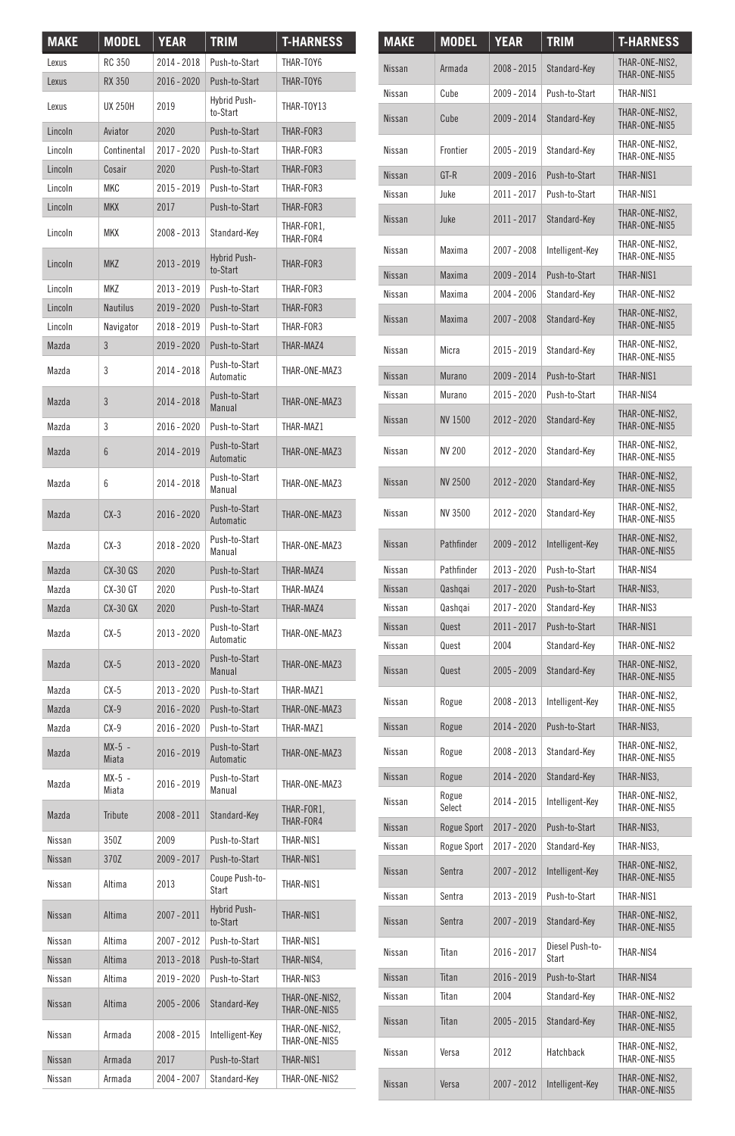| <b>MAKE</b>   | <b>MODEL</b>      | <b>YEAR</b> | <b>TRIM</b>                       | <b>T-HARNESS</b>                |
|---------------|-------------------|-------------|-----------------------------------|---------------------------------|
| Lexus         | <b>RC 350</b>     | 2014 - 2018 | Push-to-Start                     | THAR-TOY6                       |
| Lexus         | <b>RX 350</b>     | 2016 - 2020 | Push-to-Start                     | THAR-TOY6                       |
| Lexus         | <b>UX 250H</b>    | 2019        | Hybrid Push-<br>to-Start          | THAR-TOY13                      |
| Lincoln       | Aviator           | 2020        | Push-to-Start                     | THAR-FOR3                       |
| Lincoln       | Continental       | 2017 - 2020 | Push-to-Start                     | THAR-FOR3                       |
| Lincoln       | Cosair            | 2020        | Push-to-Start                     | THAR-FOR3                       |
| Lincoln       | <b>MKC</b>        | 2015 - 2019 | Push-to-Start                     | THAR-FOR3                       |
| Lincoln       | <b>MKX</b>        | 2017        | Push-to-Start                     | THAR-FOR3                       |
| I incoln      | <b>MKX</b>        | 2008 - 2013 | Standard-Key                      | THAR-FOR1.<br>THAR-FOR4         |
| Lincoln       | <b>MKZ</b>        | 2013 - 2019 | Hybrid Push-<br>to-Start          | THAR-FOR3                       |
| Lincoln       | <b>MKZ</b>        | 2013 - 2019 | Push-to-Start                     | THAR-FOR3                       |
| Lincoln       | <b>Nautilus</b>   | 2019 - 2020 | Push-to-Start                     | THAR-FOR3                       |
| Lincoln       | Navigator         | 2018 - 2019 | Push-to-Start                     | THAR-FOR3                       |
| Mazda         | 3                 | 2019 - 2020 | Push-to-Start                     | THAR-MAZ4                       |
| Mazda         | 3                 | 2014 - 2018 | Push-to-Start<br>Automatic        | THAR-ONE-MAZ3                   |
| Mazda         | 3                 | 2014 - 2018 | Push-to-Start<br>Manual           | THAR-ONE-MAZ3                   |
| Mazda         | 3                 | 2016 - 2020 | Push-to-Start                     | THAR-MAZ1                       |
| Mazda         | 6                 | 2014 - 2019 | Push-to-Start<br>Automatic        | THAR-ONE-MAZ3                   |
| Mazda         | 6                 | 2014 - 2018 | Push-to-Start<br>Manual           | THAR-ONE-MAZ3                   |
| Mazda         | $CX-3$            | 2016 - 2020 | Push-to-Start<br><b>Automatic</b> | THAR-ONE-MAZ3                   |
| Mazda         | $CX-3$            | 2018 - 2020 | Push-to-Start<br>Manual           | THAR-ONF-MAZ3                   |
| Mazda         | <b>CX-30 GS</b>   | 2020        | Push-to-Start                     | THAR-MAZ4                       |
| Mazda         | <b>CX-30 GT</b>   | 2020        | Push-to-Start                     | THAR-MAZ4                       |
| Mazda         | <b>CX-30 GX</b>   | 2020        | Push-to-Start                     | THAR-MAZ4                       |
| Mazda         | $CX-5$            | 2013 - 2020 | Push-to-Start<br>Automatic        | THAR-ONE-MAZ3                   |
| Mazda         | $CX-5$            | 2013 - 2020 | Push-to-Start<br>Manual           | THAR-ONE-MAZ3                   |
| Mazda         | $CX-5$            | 2013 - 2020 | Push-to-Start                     | THAR-MAZ1                       |
| Mazda         | $CX-9$            | 2016 - 2020 | Push-to-Start                     | THAR-ONE-MAZ3                   |
| Mazda         | $CX-9$            | 2016 - 2020 | Push-to-Start                     | THAR-MAZ1                       |
| Mazda         | $MX-5$ -<br>Miata | 2016 - 2019 | Push-to-Start<br>Automatic        | THAR-ONE-MAZ3                   |
| Mazda         | $MX-5 -$<br>Miata | 2016 - 2019 | Push-to-Start<br>Manual           | THAR-ONE-MAZ3                   |
| Mazda         | <b>Tribute</b>    | 2008 - 2011 | Standard-Kev                      | THAR-FOR1,<br>THAR-FOR4         |
| Nissan        | 350Z              | 2009        | Push-to-Start                     | THAR-NIS1                       |
| <b>Nissan</b> | 370Z              |             | 2009 - 2017 Push-to-Start         | THAR-NIS1                       |
| Nissan        | Altima            | 2013        | Coupe Push-to-<br>Start           | THAR-NIS1                       |
| Nissan        | Altima            | 2007 - 2011 | Hybrid Push-<br>to-Start          | THAR-NIS1                       |
| Nissan        | Altima            | 2007 - 2012 | Push-to-Start                     | THAR-NIS1                       |
| Nissan        | Altima            | 2013 - 2018 | Push-to-Start                     | THAR-NIS4,                      |
| Nissan        | Altima            | 2019 - 2020 | Push-to-Start                     | THAR-NIS3                       |
| Nissan        | Altima            | 2005 - 2006 | Standard-Key                      | THAR-ONE-NIS2.<br>THAR-ONE-NIS5 |
| Nissan        | Armada            | 2008 - 2015 | Intelligent-Key                   | THAR-ONE-NIS2,<br>THAR-ONE-NIS5 |
| Nissan        | Armada            | 2017        | Push-to-Start                     | THAR-NIS1                       |
| Nissan        | Armada            | 2004 - 2007 | Standard-Key                      | THAR-ONE-NIS2                   |

| MAKE          | MODEL              | YEAR        | TRIM                     | <b>T-HARNESS</b>                |
|---------------|--------------------|-------------|--------------------------|---------------------------------|
| <b>Nissan</b> | Armada             | 2008 - 2015 | Standard-Key             | THAR-ONE-NIS2,<br>THAR-ONE-NIS5 |
| Nissan        | Cube               | 2009 - 2014 | Push-to-Start            | THAR-NIS1                       |
| Nissan        | Cube               | 2009 - 2014 | Standard-Key             | THAR-ONE-NIS2,<br>THAR-ONE-NIS5 |
| Nissan        | Frontier           | 2005 - 2019 | Standard-Key             | THAR-ONE-NIS2.<br>THAR-ONE-NIS5 |
| Nissan        | $GT-R$             | 2009 - 2016 | Push-to-Start            | THAR-NIS1                       |
| Nissan        | Juke               | 2011 - 2017 | Push-to-Start            | THAR-NIS1                       |
| Nissan        | Juke               | 2011 - 2017 | Standard-Key             | THAR-ONE-NIS2,<br>THAR-ONE-NIS5 |
| Nissan        | Maxima             | 2007 - 2008 | Intelligent-Key          | THAR-ONE-NIS2,<br>THAR-ONE-NIS5 |
| Nissan        | Maxima             | 2009 - 2014 | Push-to-Start            | THAR-NIS1                       |
| Nissan        | Maxima             | 2004 - 2006 | Standard-Key             | THAR-ONE-NIS2                   |
| Nissan        | Maxima             | 2007 - 2008 | Standard-Key             | THAR-ONE-NIS2,<br>THAR-ONE-NIS5 |
| Nissan        | Micra              | 2015 - 2019 | Standard-Key             | THAR-ONE-NIS2,<br>THAR-ONE-NIS5 |
| Nissan        | Murano             | 2009 - 2014 | Push-to-Start            | THAR-NIS1                       |
| Nissan        | Murano             | 2015 - 2020 | Push-to-Start            | THAR-NIS4                       |
| <b>Nissan</b> | <b>NV 1500</b>     | 2012 - 2020 | Standard-Key             | THAR-ONE-NIS2,<br>THAR-ONE-NIS5 |
| Nissan        | <b>NV 200</b>      | 2012 - 2020 | Standard-Key             | THAR-ONE-NIS2,<br>THAR-ONE-NIS5 |
| <b>Nissan</b> | <b>NV 2500</b>     | 2012 - 2020 | Standard-Key             | THAR-ONE-NIS2,<br>THAR-ONE-NIS5 |
| Nissan        | NV 3500            | 2012 - 2020 | Standard-Kev             | THAR-ONE-NIS2.<br>THAR-ONE-NIS5 |
| Nissan        | Pathfinder         | 2009 - 2012 | Intelligent-Key          | THAR-ONE-NIS2,<br>THAR-ONE-NIS5 |
| Nissan        | Pathfinder         | 2013 - 2020 | Push-to-Start            | THAR-NIS4                       |
| Nissan        | Qashqai            | 2017 - 2020 | Push-to-Start            | THAR-NIS3.                      |
| Nissan        | Qashqai            | 2017 - 2020 | Standard-Key             | THAR-NIS3                       |
| Nissan        | Quest              | 2011 - 2017 | Push-to-Start            | THAR-NIS1                       |
| Nissan        | Quest              | 2004        | Standard-Key             | THAR-ONE-NIS2                   |
| Nissan        | Quest              | 2005 - 2009 | Standard-Key             | THAR-ONE-NIS2,<br>THAR-ONE-NIS5 |
| Nissan        | Rogue              | 2008 - 2013 | Intelligent-Key          | THAR-ONE-NIS2,<br>THAR-ONE-NIS5 |
| Nissan        | Rogue              | 2014 - 2020 | Push-to-Start            | THAR-NIS3.                      |
| Nissan        | Rogue              | 2008 - 2013 | Standard-Key             | THAR-ONE-NIS2,<br>THAR-ONE-NIS5 |
| Nissan        | Rogue              | 2014 - 2020 | Standard-Key             | THAR-NIS3.                      |
| Nissan        | Rogue<br>Select    | 2014 - 2015 | Intelligent-Key          | THAR-ONE-NIS2.<br>THAR-ONE-NIS5 |
| <b>Nissan</b> | <b>Rogue Sport</b> | 2017 - 2020 | Push-to-Start            | THAR-NIS3.                      |
| Nissan        | Rogue Sport        | 2017 - 2020 | Standard-Key             | THAR-NIS3.                      |
| Nissan        | Sentra             | 2007 - 2012 | Intelligent-Key          | THAR-ONE-NIS2,<br>THAR-ONE-NIS5 |
| Nissan        | Sentra             | 2013 - 2019 | Push-to-Start            | THAR-NIS1                       |
| Nissan        | Sentra             | 2007 - 2019 | Standard-Key             | THAR-ONE-NIS2,<br>THAR-ONE-NIS5 |
| Nissan        | Titan              | 2016 - 2017 | Diesel Push-to-<br>Start | THAR-NIS4                       |
| Nissan        | Titan              | 2016 - 2019 | Push-to-Start            | THAR-NIS4                       |
| Nissan        | Titan              | 2004        | Standard-Key             | THAR-ONE-NIS2                   |
| Nissan        | Titan              | 2005 - 2015 | Standard-Key             | THAR-ONE-NIS2,<br>THAR-ONE-NIS5 |
| Nissan        | Versa              | 2012        | Hatchback                | THAR-ONE-NIS2,<br>THAR-ONE-NIS5 |
| Nissan        | Versa              | 2007 - 2012 | Intelligent-Key          | THAR-ONE-NIS2,<br>THAR-ONE-NIS5 |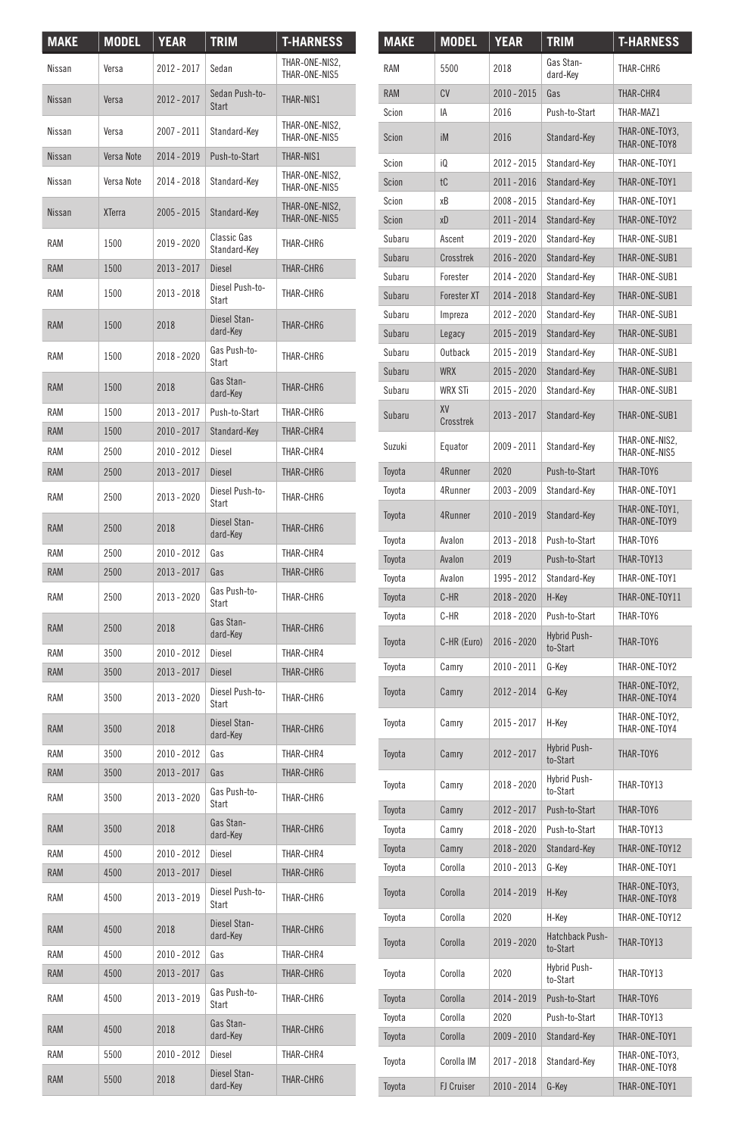| <b>MAKE</b> | <b>MODEL</b>  | <b>YEAR</b>   | <b>TRIM</b>                        | <b>T-HARNESS</b>                |
|-------------|---------------|---------------|------------------------------------|---------------------------------|
| Nissan      | Versa         | 2012 - 2017   | Sedan                              | THAR-ONE-NIS2,<br>THAR-ONF-NIS5 |
| Nissan      | Versa         | 2012 - 2017   | Sedan Push-to-<br>Start            | THAR-NIS1                       |
| Nissan      | Versa         | 2007 - 2011   | Standard-Key                       | THAR-ONE-NIS2,<br>THAR-ONE-NIS5 |
| Nissan      | Versa Note    | 2014 - 2019   | Push-to-Start                      | THAR-NIS1                       |
| Nissan      | Versa Note    | 2014 - 2018   | Standard-Key                       | THAR-ONE-NIS2,<br>THAR-ONE-NIS5 |
| Nissan      | <b>XTerra</b> | 2005 - 2015   | Standard-Key                       | THAR-ONE-NIS2,<br>THAR-ONE-NIS5 |
| <b>RAM</b>  | 1500          | 2019 - 2020   | <b>Classic Gas</b><br>Standard-Key | THAR-CHR6                       |
| <b>RAM</b>  | 1500          | 2013 - 2017   | <b>Diesel</b>                      | THAR-CHR6                       |
| RAM         | 1500          | 2013 - 2018   | Diesel Push-to-<br>Start           | THAR-CHR6                       |
| <b>RAM</b>  | 1500          | 2018          | Diesel Stan-<br>dard-Key           | THAR-CHR6                       |
| RAM         | 1500          | 2018 - 2020   | Gas Push-to-<br>Start              | THAR-CHR6                       |
| <b>RAM</b>  | 1500          | 2018          | Gas Stan-<br>dard-Key              | THAR-CHR6                       |
| RAM         | 1500          | 2013 - 2017   | Push-to-Start                      | THAR-CHR6                       |
| <b>RAM</b>  | 1500          | 2010 - 2017   | Standard-Key                       | THAR-CHR4                       |
| RAM         | 2500          | 2010 - 2012   | Diesel                             | THAR-CHR4                       |
| <b>RAM</b>  | 2500          | 2013 - 2017   | <b>Diesel</b>                      | THAR-CHR6                       |
| <b>RAM</b>  | 2500          | 2013 - 2020   | Diesel Push-to-<br>Start           | THAR-CHR6                       |
| <b>RAM</b>  | 2500          | 2018          | Diesel Stan-<br>dard-Key           | THAR-CHR6                       |
| <b>RAM</b>  | 2500          | $2010 - 2012$ | Gas                                | THAR-CHR4                       |
| <b>RAM</b>  | 2500          | 2013 - 2017   | Gas                                | THAR-CHR6                       |
| <b>RAM</b>  | 2500          | 2013 - 2020   | Gas Push-to-<br>Start              | THAR-CHR6                       |
| <b>RAM</b>  | 2500          | 2018          | Gas Stan-<br>dard-Key              | THAR-CHR6                       |
| <b>RAM</b>  | 3500          | 2010 - 2012   | Diesel                             | THAR-CHR4                       |
| <b>RAM</b>  | 3500          | 2013 - 2017   | <b>Diesel</b>                      | THAR-CHR6                       |
| <b>RAM</b>  | 3500          | 2013 - 2020   | Diesel Push-to-<br>Start           | THAR-CHR6                       |
| <b>RAM</b>  | 3500          | 2018          | Diesel Stan-<br>dard-Key           | THAR-CHR6                       |
| <b>RAM</b>  | 3500          | $2010 - 2012$ | Gas                                | THAR-CHR4                       |
| <b>RAM</b>  | 3500          | 2013 - 2017   | Gas                                | THAR-CHR6                       |
| <b>RAM</b>  | 3500          | 2013 - 2020   | Gas Push-to-<br>Start              | THAR-CHR6                       |
| <b>RAM</b>  | 3500          | 2018          | Gas Stan-<br>dard-Key              | THAR-CHR6                       |
| RAM         | 4500          | 2010 - 2012   | Diesel                             | THAR-CHR4                       |
| <b>RAM</b>  | 4500          | 2013 - 2017   | Diesel                             | THAR-CHR6                       |
| RAM         | 4500          | 2013 - 2019   | Diesel Push-to-<br>Start           | THAR-CHR6                       |
| <b>RAM</b>  | 4500          | 2018          | Diesel Stan-<br>dard-Key           | THAR-CHR6                       |
| RAM         | 4500          | 2010 - 2012   | Gas                                | THAR-CHR4                       |
| <b>RAM</b>  | 4500          | 2013 - 2017   | Gas                                | THAR-CHR6                       |
| RAM         | 4500          | 2013 - 2019   | Gas Push-to-<br>Start              | THAR-CHR6                       |
| <b>RAM</b>  | 4500          | 2018          | Gas Stan-<br>dard-Key              | THAR-CHR6                       |
| RAM         | 5500          | 2010 - 2012   | Diesel                             | THAR-CHR4                       |
| <b>RAM</b>  | 5500          | 2018          | Diesel Stan-<br>dard-Key           | THAR-CHR6                       |

| <b>MAKE</b> | MODEL              | YEAR        | <u>TRIM</u>                     | <b>T-HARNESS</b>                |
|-------------|--------------------|-------------|---------------------------------|---------------------------------|
| RAM         | 5500               | 2018        | Gas Stan-<br>dard-Key           | THAR-CHR6                       |
| <b>RAM</b>  | CV                 | 2010 - 2015 | Gas                             | THAR-CHR4                       |
| Scion       | IA                 | 2016        | Push-to-Start                   | THAR-MAZ1                       |
| Scion       | iM                 | 2016        | Standard-Key                    | THAR-ONE-TOY3,<br>THAR-ONE-TOY8 |
| Scion       | iQ                 | 2012 - 2015 | Standard-Key                    | THAR-ONE-TOY1                   |
| Scion       | tC                 | 2011 - 2016 | Standard-Key                    | THAR-ONE-TOY1                   |
| Scion       | хB                 | 2008 - 2015 | Standard-Key                    | THAR-ONE-TOY1                   |
| Scion       | xD                 | 2011 - 2014 | Standard-Key                    | THAR-ONE-TOY2                   |
| Subaru      | Ascent             | 2019 - 2020 | Standard-Key                    | THAR-ONE-SUB1                   |
| Subaru      | Crosstrek          | 2016 - 2020 | Standard-Key                    | THAR-ONE-SUB1                   |
| Subaru      | Forester           | 2014 - 2020 | Standard-Key                    | THAR-ONE-SUB1                   |
| Subaru      | <b>Forester XT</b> | 2014 - 2018 | Standard-Key                    | THAR-ONE-SUB1                   |
| Subaru      | Impreza            | 2012 - 2020 | Standard-Key                    | THAR-ONE-SUB1                   |
| Subaru      | Legacy             | 2015 - 2019 | Standard-Key                    | THAR-ONE-SUB1                   |
| Subaru      | Outback            | 2015 - 2019 | Standard-Key                    | THAR-ONE-SUB1                   |
| Subaru      | <b>WRX</b>         | 2015 - 2020 | Standard-Key                    | THAR-ONE-SUB1                   |
| Subaru      | <b>WRX STi</b>     | 2015 - 2020 | Standard-Key                    | THAR-ONE-SUB1                   |
| Subaru      | XV<br>Crosstrek    | 2013 - 2017 | Standard-Key                    | THAR-ONE-SUB1                   |
| Suzuki      | Equator            | 2009 - 2011 | Standard-Key                    | THAR-ONE-NIS2,<br>THAR-ONE-NIS5 |
| Toyota      | 4Runner            | 2020        | Push-to-Start                   | THAR-TOY6                       |
| Toyota      | 4Runner            | 2003 - 2009 | Standard-Kev                    | THAR-ONE-TOY1                   |
| Toyota      | 4Runner            | 2010 - 2019 | Standard-Key                    | THAR-ONE-TOY1,<br>THAR-ONE-TOY9 |
| Toyota      | Avalon             | 2013 - 2018 | Push-to-Start                   | THAR-TOY6                       |
| Toyota      | Avalon             | 2019        | Push-to-Start                   | THAR-TOY13                      |
| Toyota      | Avalon             | 1995 - 2012 | Standard-Key                    | THAR-ONE-TOY1                   |
| Toyota      | C-HR               | 2018 - 2020 | H-Key                           | THAR-ONE-TOY11                  |
| Toyota      | C-HR               | 2018 - 2020 | Push-to-Start                   | THAR-TOY6                       |
| Toyota      | C-HR (Euro)        | 2016 - 2020 | <b>Hybrid Push-</b><br>to-Start | THAR-TOY6                       |
| Toyota      | Camry              | 2010 - 2011 | G-Key                           | THAR-ONE-TOY2                   |
| Toyota      | Camry              | 2012 - 2014 | G-Key                           | THAR-ONE-TOY2,<br>THAR-ONE-TOY4 |
| Toyota      | Camry              | 2015 - 2017 | H-Key                           | THAR-ONE-TOY2,<br>THAR-ONE-TOY4 |
| Toyota      | Camry              | 2012 - 2017 | Hybrid Push-<br>to-Start        | THAR-TOY6                       |
| Toyota      | Camry              | 2018 - 2020 | Hybrid Push-<br>to-Start        | THAR-TOY13                      |
| Toyota      | Camry              | 2012 - 2017 | Push-to-Start                   | THAR-TOY6                       |
| Toyota      | Camry              | 2018 - 2020 | Push-to-Start                   | THAR-TOY13                      |
| Toyota      | Camry              | 2018 - 2020 | Standard-Key                    | THAR-ONE-TOY12                  |
| Toyota      | Corolla            | 2010 - 2013 | G-Key                           | THAR-ONE-TOY1                   |
| Toyota      | Corolla            | 2014 - 2019 | H-Key                           | THAR-ONE-TOY3,<br>THAR-ONE-TOY8 |
| Toyota      | Corolla            | 2020        | H-Key                           | THAR-ONE-TOY12                  |
| Toyota      | Corolla            | 2019 - 2020 | Hatchback Push-<br>to-Start     | THAR-TOY13                      |
| Toyota      | Corolla            | 2020        | Hybrid Push-<br>to-Start        | THAR-TOY13                      |
| Toyota      | Corolla            | 2014 - 2019 | Push-to-Start                   | THAR-TOY6                       |
| Toyota      | Corolla            | 2020        | Push-to-Start                   | THAR-TOY13                      |
| Toyota      | Corolla            | 2009 - 2010 | Standard-Key                    | THAR-ONE-TOY1                   |
| Toyota      | Corolla IM         | 2017 - 2018 | Standard-Key                    | THAR-ONE-TOY3,<br>THAR-ONE-TOY8 |
| Toyota      | FJ Cruiser         | 2010 - 2014 | G-Key                           | THAR-ONE-TOY1                   |